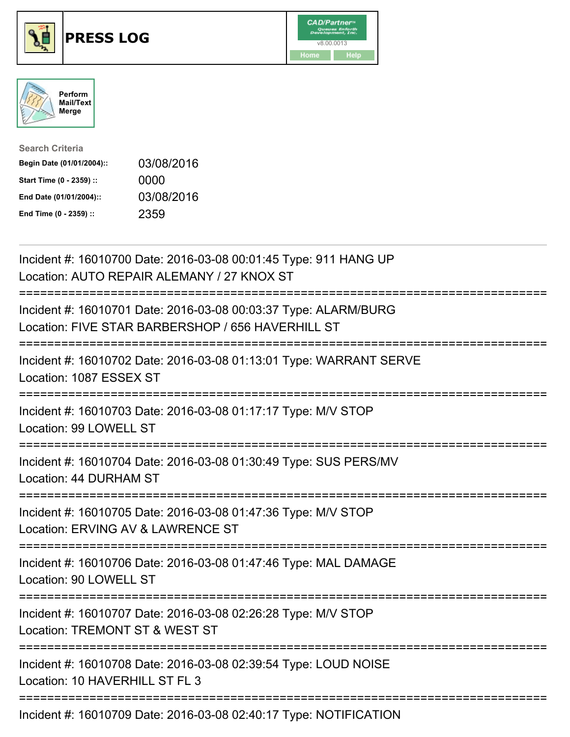





| <b>Search Criteria</b>    |            |
|---------------------------|------------|
| Begin Date (01/01/2004):: | 03/08/2016 |
| Start Time (0 - 2359) ::  | 0000       |
| End Date (01/01/2004)::   | 03/08/2016 |
| End Time (0 - 2359) ::    | 2359       |

| Incident #: 16010700 Date: 2016-03-08 00:01:45 Type: 911 HANG UP<br>Location: AUTO REPAIR ALEMANY / 27 KNOX ST                                                                                                                                                                                                                                                                        |
|---------------------------------------------------------------------------------------------------------------------------------------------------------------------------------------------------------------------------------------------------------------------------------------------------------------------------------------------------------------------------------------|
| Incident #: 16010701 Date: 2016-03-08 00:03:37 Type: ALARM/BURG<br>Location: FIVE STAR BARBERSHOP / 656 HAVERHILL ST                                                                                                                                                                                                                                                                  |
| Incident #: 16010702 Date: 2016-03-08 01:13:01 Type: WARRANT SERVE<br>Location: 1087 ESSEX ST                                                                                                                                                                                                                                                                                         |
| Incident #: 16010703 Date: 2016-03-08 01:17:17 Type: M/V STOP<br>Location: 99 LOWELL ST                                                                                                                                                                                                                                                                                               |
| Incident #: 16010704 Date: 2016-03-08 01:30:49 Type: SUS PERS/MV<br>Location: 44 DURHAM ST<br>:===================                                                                                                                                                                                                                                                                    |
| Incident #: 16010705 Date: 2016-03-08 01:47:36 Type: M/V STOP<br>Location: ERVING AV & LAWRENCE ST                                                                                                                                                                                                                                                                                    |
| Incident #: 16010706 Date: 2016-03-08 01:47:46 Type: MAL DAMAGE<br>Location: 90 LOWELL ST<br>;=============================                                                                                                                                                                                                                                                           |
| Incident #: 16010707 Date: 2016-03-08 02:26:28 Type: M/V STOP<br>Location: TREMONT ST & WEST ST                                                                                                                                                                                                                                                                                       |
| Incident #: 16010708 Date: 2016-03-08 02:39:54 Type: LOUD NOISE<br>Location: 10 HAVERHILL ST FL 3                                                                                                                                                                                                                                                                                     |
| $\overline{a}$ , $\overline{a}$ , $\overline{a}$ , $\overline{a}$ , $\overline{a}$ , $\overline{a}$ , $\overline{a}$ , $\overline{a}$ , $\overline{a}$ , $\overline{a}$ , $\overline{a}$ , $\overline{a}$ , $\overline{a}$ , $\overline{a}$ , $\overline{a}$ , $\overline{a}$ , $\overline{a}$ , $\overline{a}$ , $\overline{a}$ , $\overline{a}$ , $\overline{a}$ , $\overline{a}$ , |

Incident #: 16010709 Date: 2016-03-08 02:40:17 Type: NOTIFICATION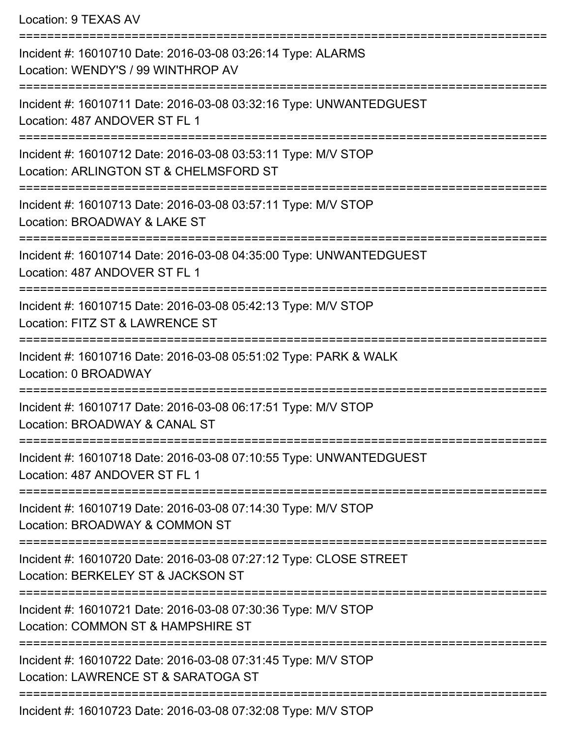Location: 9 TEXAS AV

=========================================================================== Incident #: 16010710 Date: 2016-03-08 03:26:14 Type: ALARMS Location: WENDY'S / 99 WINTHROP AV =========================================================================== Incident #: 16010711 Date: 2016-03-08 03:32:16 Type: UNWANTEDGUEST Location: 487 ANDOVER ST FL 1 =========================================================================== Incident #: 16010712 Date: 2016-03-08 03:53:11 Type: M/V STOP Location: ARLINGTON ST & CHELMSFORD ST =========================================================================== Incident #: 16010713 Date: 2016-03-08 03:57:11 Type: M/V STOP Location: BROADWAY & LAKE ST =========================================================================== Incident #: 16010714 Date: 2016-03-08 04:35:00 Type: UNWANTEDGUEST Location: 487 ANDOVER ST FL 1 =========================================================================== Incident #: 16010715 Date: 2016-03-08 05:42:13 Type: M/V STOP Location: FITZ ST & LAWRENCE ST =========================================================================== Incident #: 16010716 Date: 2016-03-08 05:51:02 Type: PARK & WALK Location: 0 BROADWAY =========================================================================== Incident #: 16010717 Date: 2016-03-08 06:17:51 Type: M/V STOP Location: BROADWAY & CANAL ST =========================================================================== Incident #: 16010718 Date: 2016-03-08 07:10:55 Type: UNWANTEDGUEST Location: 487 ANDOVER ST FL 1 =========================================================================== Incident #: 16010719 Date: 2016-03-08 07:14:30 Type: M/V STOP Location: BROADWAY & COMMON ST =========================================================================== Incident #: 16010720 Date: 2016-03-08 07:27:12 Type: CLOSE STREET Location: BERKELEY ST & JACKSON ST =========================================================================== Incident #: 16010721 Date: 2016-03-08 07:30:36 Type: M/V STOP Location: COMMON ST & HAMPSHIRE ST =========================================================================== Incident #: 16010722 Date: 2016-03-08 07:31:45 Type: M/V STOP Location: LAWRENCE ST & SARATOGA ST =========================================================================== Incident #: 16010723 Date: 2016-03-08 07:32:08 Type: M/V STOP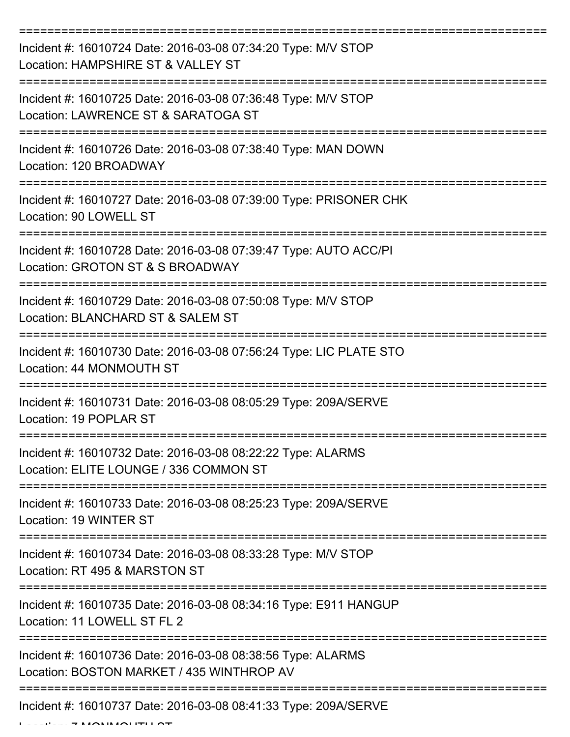| Incident #: 16010724 Date: 2016-03-08 07:34:20 Type: M/V STOP<br>Location: HAMPSHIRE ST & VALLEY ST      |
|----------------------------------------------------------------------------------------------------------|
| Incident #: 16010725 Date: 2016-03-08 07:36:48 Type: M/V STOP<br>Location: LAWRENCE ST & SARATOGA ST     |
| Incident #: 16010726 Date: 2016-03-08 07:38:40 Type: MAN DOWN<br>Location: 120 BROADWAY                  |
| Incident #: 16010727 Date: 2016-03-08 07:39:00 Type: PRISONER CHK<br>Location: 90 LOWELL ST              |
| Incident #: 16010728 Date: 2016-03-08 07:39:47 Type: AUTO ACC/PI<br>Location: GROTON ST & S BROADWAY     |
| Incident #: 16010729 Date: 2016-03-08 07:50:08 Type: M/V STOP<br>Location: BLANCHARD ST & SALEM ST       |
| Incident #: 16010730 Date: 2016-03-08 07:56:24 Type: LIC PLATE STO<br>Location: 44 MONMOUTH ST           |
| Incident #: 16010731 Date: 2016-03-08 08:05:29 Type: 209A/SERVE<br>Location: 19 POPLAR ST                |
| Incident #: 16010732 Date: 2016-03-08 08:22:22 Type: ALARMS<br>Location: ELITE LOUNGE / 336 COMMON ST    |
| Incident #: 16010733 Date: 2016-03-08 08:25:23 Type: 209A/SERVE<br>Location: 19 WINTER ST                |
| Incident #: 16010734 Date: 2016-03-08 08:33:28 Type: M/V STOP<br>Location: RT 495 & MARSTON ST           |
| Incident #: 16010735 Date: 2016-03-08 08:34:16 Type: E911 HANGUP<br>Location: 11 LOWELL ST FL 2          |
| Incident #: 16010736 Date: 2016-03-08 08:38:56 Type: ALARMS<br>Location: BOSTON MARKET / 435 WINTHROP AV |
| Incident #: 16010737 Date: 2016-03-08 08:41:33 Type: 209A/SERVE                                          |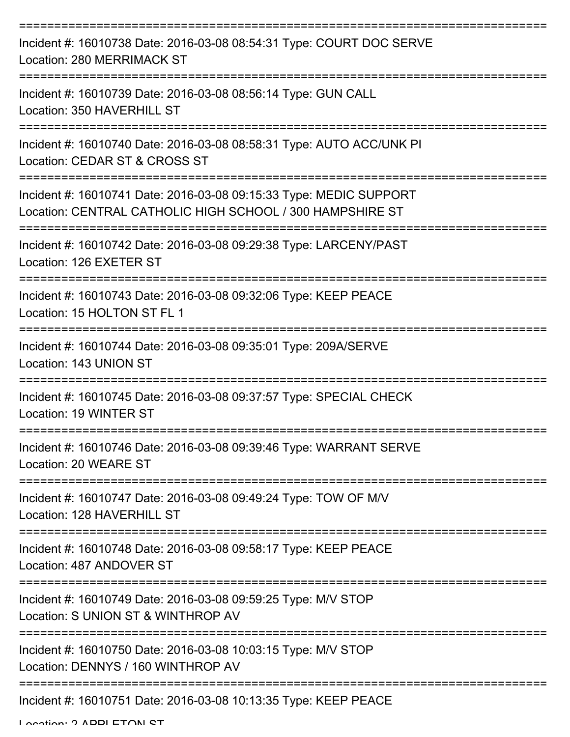| Incident #: 16010738 Date: 2016-03-08 08:54:31 Type: COURT DOC SERVE<br><b>Location: 280 MERRIMACK ST</b>                       |
|---------------------------------------------------------------------------------------------------------------------------------|
| Incident #: 16010739 Date: 2016-03-08 08:56:14 Type: GUN CALL<br>Location: 350 HAVERHILL ST                                     |
| Incident #: 16010740 Date: 2016-03-08 08:58:31 Type: AUTO ACC/UNK PI<br>Location: CEDAR ST & CROSS ST                           |
| Incident #: 16010741 Date: 2016-03-08 09:15:33 Type: MEDIC SUPPORT<br>Location: CENTRAL CATHOLIC HIGH SCHOOL / 300 HAMPSHIRE ST |
| Incident #: 16010742 Date: 2016-03-08 09:29:38 Type: LARCENY/PAST<br>Location: 126 EXETER ST                                    |
| Incident #: 16010743 Date: 2016-03-08 09:32:06 Type: KEEP PEACE<br>Location: 15 HOLTON ST FL 1                                  |
| Incident #: 16010744 Date: 2016-03-08 09:35:01 Type: 209A/SERVE<br>Location: 143 UNION ST                                       |
| Incident #: 16010745 Date: 2016-03-08 09:37:57 Type: SPECIAL CHECK<br>Location: 19 WINTER ST                                    |
| Incident #: 16010746 Date: 2016-03-08 09:39:46 Type: WARRANT SERVE<br>Location: 20 WEARE ST                                     |
| Incident #: 16010747 Date: 2016-03-08 09:49:24 Type: TOW OF M/V<br>Location: 128 HAVERHILL ST                                   |
| Incident #: 16010748 Date: 2016-03-08 09:58:17 Type: KEEP PEACE<br>Location: 487 ANDOVER ST                                     |
| Incident #: 16010749 Date: 2016-03-08 09:59:25 Type: M/V STOP<br>Location: S UNION ST & WINTHROP AV                             |
| Incident #: 16010750 Date: 2016-03-08 10:03:15 Type: M/V STOP<br>Location: DENNYS / 160 WINTHROP AV                             |
| Incident #: 16010751 Date: 2016-03-08 10:13:35 Type: KEEP PEACE                                                                 |

Location: 2 ADDI ETOM ST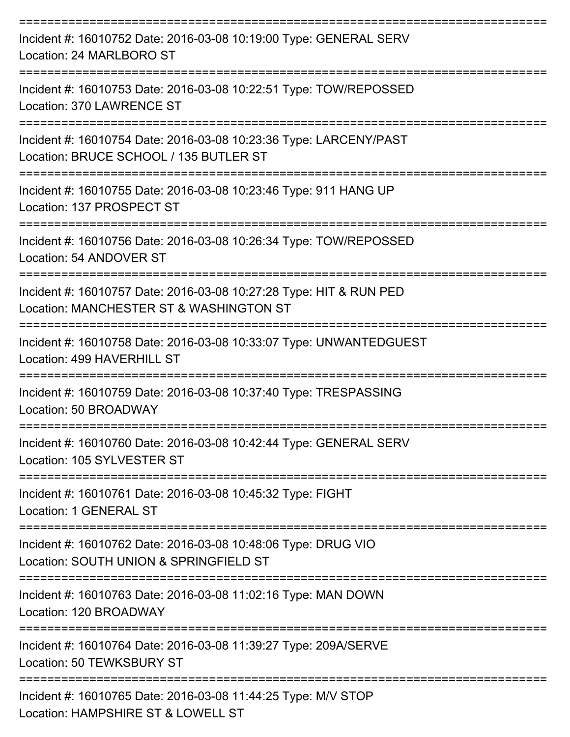| Incident #: 16010752 Date: 2016-03-08 10:19:00 Type: GENERAL SERV<br>Location: 24 MARLBORO ST                     |
|-------------------------------------------------------------------------------------------------------------------|
| Incident #: 16010753 Date: 2016-03-08 10:22:51 Type: TOW/REPOSSED<br>Location: 370 LAWRENCE ST<br>--------------- |
| Incident #: 16010754 Date: 2016-03-08 10:23:36 Type: LARCENY/PAST<br>Location: BRUCE SCHOOL / 135 BUTLER ST       |
| Incident #: 16010755 Date: 2016-03-08 10:23:46 Type: 911 HANG UP<br>Location: 137 PROSPECT ST                     |
| Incident #: 16010756 Date: 2016-03-08 10:26:34 Type: TOW/REPOSSED<br>Location: 54 ANDOVER ST                      |
| Incident #: 16010757 Date: 2016-03-08 10:27:28 Type: HIT & RUN PED<br>Location: MANCHESTER ST & WASHINGTON ST     |
| Incident #: 16010758 Date: 2016-03-08 10:33:07 Type: UNWANTEDGUEST<br>Location: 499 HAVERHILL ST                  |
| Incident #: 16010759 Date: 2016-03-08 10:37:40 Type: TRESPASSING<br>Location: 50 BROADWAY                         |
| Incident #: 16010760 Date: 2016-03-08 10:42:44 Type: GENERAL SERV<br>Location: 105 SYLVESTER ST                   |
| Incident #: 16010761 Date: 2016-03-08 10:45:32 Type: FIGHT<br>Location: 1 GENERAL ST                              |
| Incident #: 16010762 Date: 2016-03-08 10:48:06 Type: DRUG VIO<br>Location: SOUTH UNION & SPRINGFIELD ST           |
| Incident #: 16010763 Date: 2016-03-08 11:02:16 Type: MAN DOWN<br>Location: 120 BROADWAY                           |
| Incident #: 16010764 Date: 2016-03-08 11:39:27 Type: 209A/SERVE<br>Location: 50 TEWKSBURY ST                      |
| Incident #: 16010765 Date: 2016-03-08 11:44:25 Type: M/V STOP<br>Location: HAMPSHIRE ST & LOWELL ST               |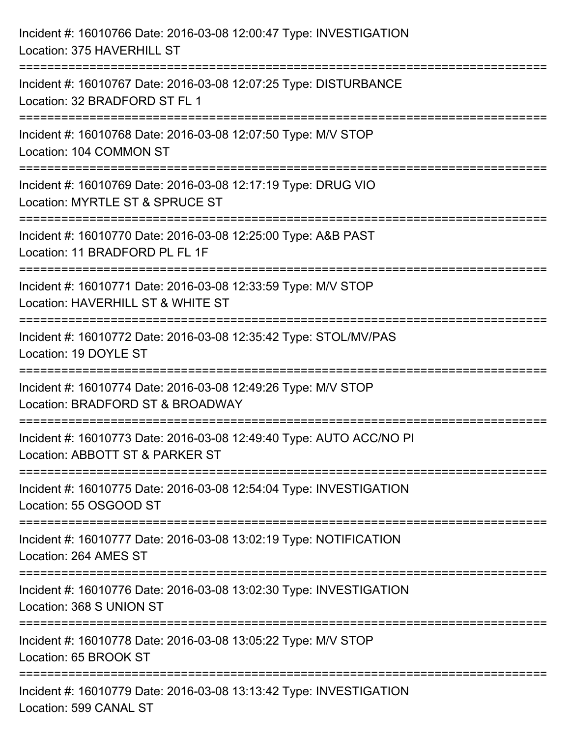| Incident #: 16010766 Date: 2016-03-08 12:00:47 Type: INVESTIGATION<br>Location: 375 HAVERHILL ST                                          |
|-------------------------------------------------------------------------------------------------------------------------------------------|
| ====================================<br>Incident #: 16010767 Date: 2016-03-08 12:07:25 Type: DISTURBANCE<br>Location: 32 BRADFORD ST FL 1 |
| ======================<br>Incident #: 16010768 Date: 2016-03-08 12:07:50 Type: M/V STOP<br>Location: 104 COMMON ST                        |
| Incident #: 16010769 Date: 2016-03-08 12:17:19 Type: DRUG VIO<br>Location: MYRTLE ST & SPRUCE ST                                          |
| Incident #: 16010770 Date: 2016-03-08 12:25:00 Type: A&B PAST<br>Location: 11 BRADFORD PL FL 1F                                           |
| Incident #: 16010771 Date: 2016-03-08 12:33:59 Type: M/V STOP<br>Location: HAVERHILL ST & WHITE ST                                        |
| Incident #: 16010772 Date: 2016-03-08 12:35:42 Type: STOL/MV/PAS<br>Location: 19 DOYLE ST                                                 |
| Incident #: 16010774 Date: 2016-03-08 12:49:26 Type: M/V STOP<br>Location: BRADFORD ST & BROADWAY                                         |
| Incident #: 16010773 Date: 2016-03-08 12:49:40 Type: AUTO ACC/NO PI<br>Location: ABBOTT ST & PARKER ST                                    |
| Incident #: 16010775 Date: 2016-03-08 12:54:04 Type: INVESTIGATION<br>Location: 55 OSGOOD ST                                              |
| Incident #: 16010777 Date: 2016-03-08 13:02:19 Type: NOTIFICATION<br>Location: 264 AMES ST                                                |
| Incident #: 16010776 Date: 2016-03-08 13:02:30 Type: INVESTIGATION<br>Location: 368 S UNION ST                                            |
| Incident #: 16010778 Date: 2016-03-08 13:05:22 Type: M/V STOP<br>Location: 65 BROOK ST                                                    |
| Incident #: 16010779 Date: 2016-03-08 13:13:42 Type: INVESTIGATION<br>Location: 599 CANAL ST                                              |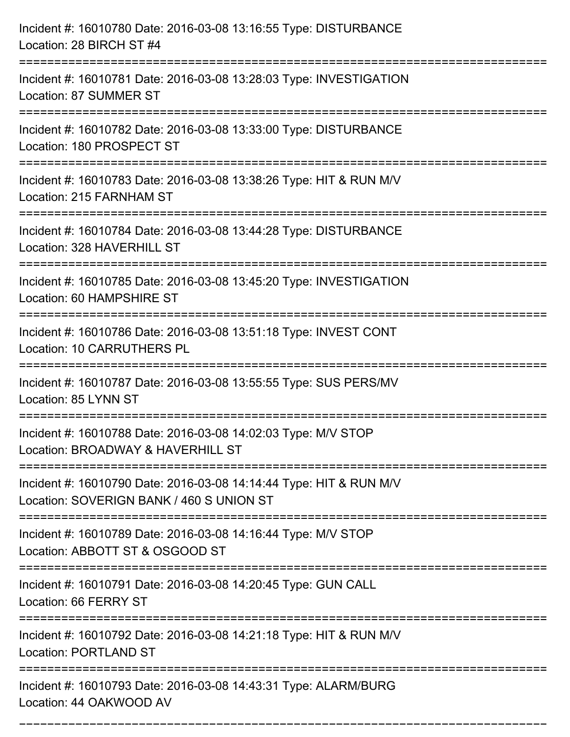| Incident #: 16010780 Date: 2016-03-08 13:16:55 Type: DISTURBANCE<br>Location: 28 BIRCH ST #4                             |
|--------------------------------------------------------------------------------------------------------------------------|
| Incident #: 16010781 Date: 2016-03-08 13:28:03 Type: INVESTIGATION<br>Location: 87 SUMMER ST                             |
| Incident #: 16010782 Date: 2016-03-08 13:33:00 Type: DISTURBANCE<br>Location: 180 PROSPECT ST<br>======================= |
| Incident #: 16010783 Date: 2016-03-08 13:38:26 Type: HIT & RUN M/V<br>Location: 215 FARNHAM ST                           |
| Incident #: 16010784 Date: 2016-03-08 13:44:28 Type: DISTURBANCE<br>Location: 328 HAVERHILL ST                           |
| Incident #: 16010785 Date: 2016-03-08 13:45:20 Type: INVESTIGATION<br>Location: 60 HAMPSHIRE ST                          |
| Incident #: 16010786 Date: 2016-03-08 13:51:18 Type: INVEST CONT<br>Location: 10 CARRUTHERS PL                           |
| Incident #: 16010787 Date: 2016-03-08 13:55:55 Type: SUS PERS/MV<br>Location: 85 LYNN ST                                 |
| Incident #: 16010788 Date: 2016-03-08 14:02:03 Type: M/V STOP<br>Location: BROADWAY & HAVERHILL ST                       |
| Incident #: 16010790 Date: 2016-03-08 14:14:44 Type: HIT & RUN M/V<br>Location: SOVERIGN BANK / 460 S UNION ST           |
| Incident #: 16010789 Date: 2016-03-08 14:16:44 Type: M/V STOP<br>Location: ABBOTT ST & OSGOOD ST                         |
| Incident #: 16010791 Date: 2016-03-08 14:20:45 Type: GUN CALL<br>Location: 66 FERRY ST                                   |
| Incident #: 16010792 Date: 2016-03-08 14:21:18 Type: HIT & RUN M/V<br><b>Location: PORTLAND ST</b>                       |
| Incident #: 16010793 Date: 2016-03-08 14:43:31 Type: ALARM/BURG<br>Location: 44 OAKWOOD AV                               |

===========================================================================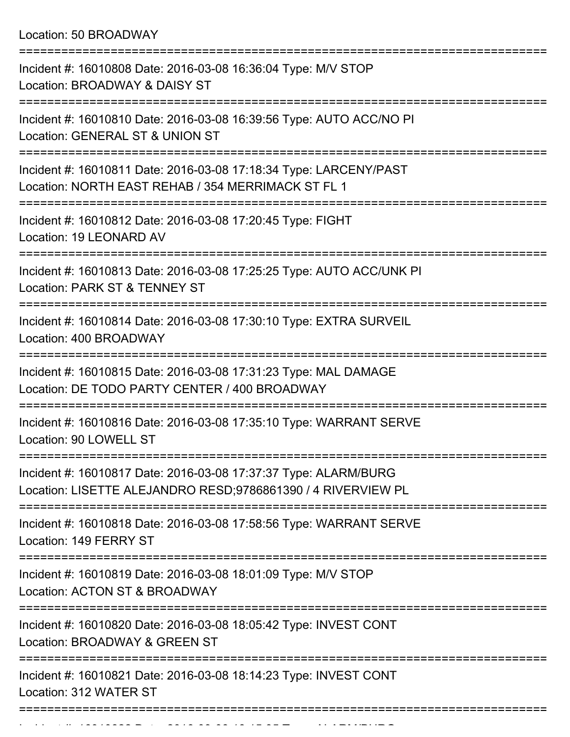Location: 50 BROADWAY

| Incident #: 16010808 Date: 2016-03-08 16:36:04 Type: M/V STOP<br>Location: BROADWAY & DAISY ST                                  |
|---------------------------------------------------------------------------------------------------------------------------------|
| Incident #: 16010810 Date: 2016-03-08 16:39:56 Type: AUTO ACC/NO PI<br>Location: GENERAL ST & UNION ST                          |
| Incident #: 16010811 Date: 2016-03-08 17:18:34 Type: LARCENY/PAST<br>Location: NORTH EAST REHAB / 354 MERRIMACK ST FL 1         |
| Incident #: 16010812 Date: 2016-03-08 17:20:45 Type: FIGHT<br>Location: 19 LEONARD AV                                           |
| Incident #: 16010813 Date: 2016-03-08 17:25:25 Type: AUTO ACC/UNK PI<br>Location: PARK ST & TENNEY ST                           |
| Incident #: 16010814 Date: 2016-03-08 17:30:10 Type: EXTRA SURVEIL<br>Location: 400 BROADWAY                                    |
| Incident #: 16010815 Date: 2016-03-08 17:31:23 Type: MAL DAMAGE<br>Location: DE TODO PARTY CENTER / 400 BROADWAY                |
| Incident #: 16010816 Date: 2016-03-08 17:35:10 Type: WARRANT SERVE<br>Location: 90 LOWELL ST                                    |
| Incident #: 16010817 Date: 2016-03-08 17:37:37 Type: ALARM/BURG<br>Location: LISETTE ALEJANDRO RESD;9786861390 / 4 RIVERVIEW PL |
| Incident #: 16010818 Date: 2016-03-08 17:58:56 Type: WARRANT SERVE<br>Location: 149 FERRY ST                                    |
| Incident #: 16010819 Date: 2016-03-08 18:01:09 Type: M/V STOP<br>Location: ACTON ST & BROADWAY                                  |
| Incident #: 16010820 Date: 2016-03-08 18:05:42 Type: INVEST CONT<br>Location: BROADWAY & GREEN ST                               |
| Incident #: 16010821 Date: 2016-03-08 18:14:23 Type: INVEST CONT<br>Location: 312 WATER ST                                      |
|                                                                                                                                 |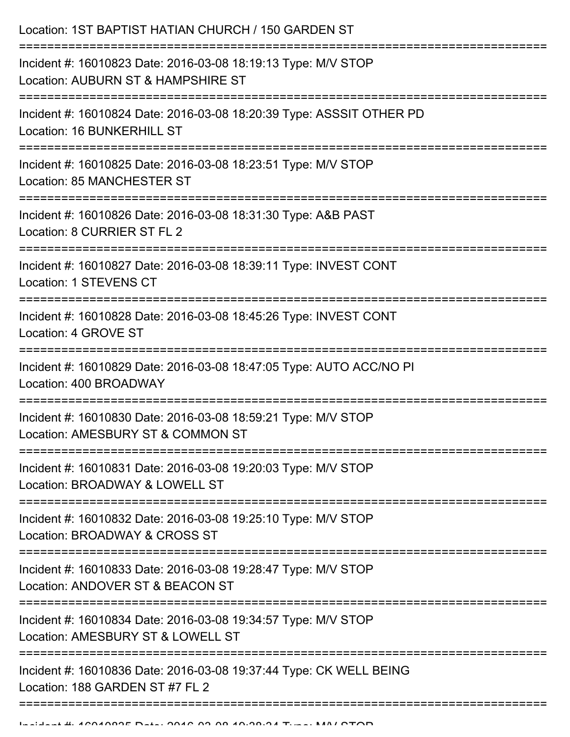| Location: 1ST BAPTIST HATIAN CHURCH / 150 GARDEN ST                                                                                                               |
|-------------------------------------------------------------------------------------------------------------------------------------------------------------------|
| Incident #: 16010823 Date: 2016-03-08 18:19:13 Type: M/V STOP<br>Location: AUBURN ST & HAMPSHIRE ST<br>:===============================                           |
| Incident #: 16010824 Date: 2016-03-08 18:20:39 Type: ASSSIT OTHER PD<br>Location: 16 BUNKERHILL ST                                                                |
| Incident #: 16010825 Date: 2016-03-08 18:23:51 Type: M/V STOP<br>Location: 85 MANCHESTER ST<br>==============================                                     |
| Incident #: 16010826 Date: 2016-03-08 18:31:30 Type: A&B PAST<br>Location: 8 CURRIER ST FL 2                                                                      |
| Incident #: 16010827 Date: 2016-03-08 18:39:11 Type: INVEST CONT<br>Location: 1 STEVENS CT<br>===============================<br>-------------------------------- |
| Incident #: 16010828 Date: 2016-03-08 18:45:26 Type: INVEST CONT<br>Location: 4 GROVE ST                                                                          |
| Incident #: 16010829 Date: 2016-03-08 18:47:05 Type: AUTO ACC/NO PI<br>Location: 400 BROADWAY                                                                     |
| Incident #: 16010830 Date: 2016-03-08 18:59:21 Type: M/V STOP<br>Location: AMESBURY ST & COMMON ST                                                                |
| Incident #: 16010831 Date: 2016-03-08 19:20:03 Type: M/V STOP<br>Location: BROADWAY & LOWELL ST                                                                   |
| Incident #: 16010832 Date: 2016-03-08 19:25:10 Type: M/V STOP<br>Location: BROADWAY & CROSS ST                                                                    |
| Incident #: 16010833 Date: 2016-03-08 19:28:47 Type: M/V STOP<br>Location: ANDOVER ST & BEACON ST                                                                 |
| Incident #: 16010834 Date: 2016-03-08 19:34:57 Type: M/V STOP<br>Location: AMESBURY ST & LOWELL ST                                                                |
| Incident #: 16010836 Date: 2016-03-08 19:37:44 Type: CK WELL BEING<br>Location: 188 GARDEN ST #7 FL 2                                                             |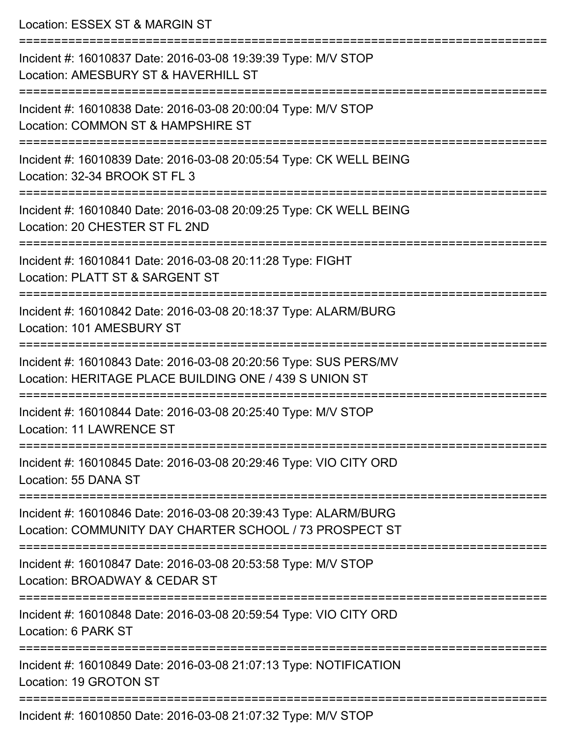| Location: ESSEX ST & MARGIN ST<br>==================                                                                              |
|-----------------------------------------------------------------------------------------------------------------------------------|
| Incident #: 16010837 Date: 2016-03-08 19:39:39 Type: M/V STOP<br>Location: AMESBURY ST & HAVERHILL ST<br>:======================= |
| Incident #: 16010838 Date: 2016-03-08 20:00:04 Type: M/V STOP<br>Location: COMMON ST & HAMPSHIRE ST                               |
| Incident #: 16010839 Date: 2016-03-08 20:05:54 Type: CK WELL BEING<br>Location: 32-34 BROOK ST FL 3                               |
| Incident #: 16010840 Date: 2016-03-08 20:09:25 Type: CK WELL BEING<br>Location: 20 CHESTER ST FL 2ND                              |
| Incident #: 16010841 Date: 2016-03-08 20:11:28 Type: FIGHT<br>Location: PLATT ST & SARGENT ST                                     |
| Incident #: 16010842 Date: 2016-03-08 20:18:37 Type: ALARM/BURG<br>Location: 101 AMESBURY ST                                      |
| Incident #: 16010843 Date: 2016-03-08 20:20:56 Type: SUS PERS/MV<br>Location: HERITAGE PLACE BUILDING ONE / 439 S UNION ST        |
| Incident #: 16010844 Date: 2016-03-08 20:25:40 Type: M/V STOP<br><b>Location: 11 LAWRENCE ST</b>                                  |
| Incident #: 16010845 Date: 2016-03-08 20:29:46 Type: VIO CITY ORD<br>Location: 55 DANA ST                                         |
| Incident #: 16010846 Date: 2016-03-08 20:39:43 Type: ALARM/BURG<br>Location: COMMUNITY DAY CHARTER SCHOOL / 73 PROSPECT ST        |
| Incident #: 16010847 Date: 2016-03-08 20:53:58 Type: M/V STOP<br>Location: BROADWAY & CEDAR ST                                    |
| Incident #: 16010848 Date: 2016-03-08 20:59:54 Type: VIO CITY ORD<br>Location: 6 PARK ST                                          |
| Incident #: 16010849 Date: 2016-03-08 21:07:13 Type: NOTIFICATION<br>Location: 19 GROTON ST                                       |
| Incident #: 16010850 Date: 2016-03-08 21:07:32 Type: MAI STOP                                                                     |

Incident #: 16010850 Date: 2016-03-08 21:07:32 Type: M/V STOP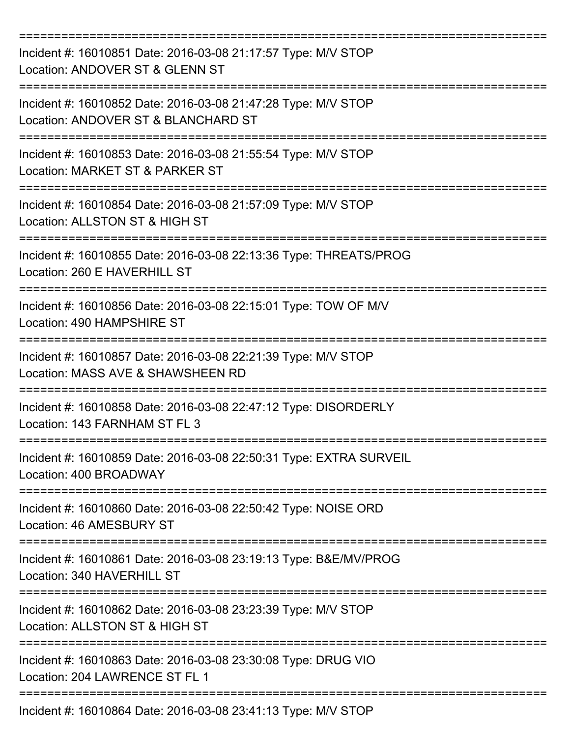| Incident #: 16010851 Date: 2016-03-08 21:17:57 Type: M/V STOP<br>Location: ANDOVER ST & GLENN ST     |
|------------------------------------------------------------------------------------------------------|
| Incident #: 16010852 Date: 2016-03-08 21:47:28 Type: M/V STOP<br>Location: ANDOVER ST & BLANCHARD ST |
| Incident #: 16010853 Date: 2016-03-08 21:55:54 Type: M/V STOP<br>Location: MARKET ST & PARKER ST     |
| Incident #: 16010854 Date: 2016-03-08 21:57:09 Type: M/V STOP<br>Location: ALLSTON ST & HIGH ST      |
| Incident #: 16010855 Date: 2016-03-08 22:13:36 Type: THREATS/PROG<br>Location: 260 E HAVERHILL ST    |
| Incident #: 16010856 Date: 2016-03-08 22:15:01 Type: TOW OF M/V<br>Location: 490 HAMPSHIRE ST        |
| Incident #: 16010857 Date: 2016-03-08 22:21:39 Type: M/V STOP<br>Location: MASS AVE & SHAWSHEEN RD   |
| Incident #: 16010858 Date: 2016-03-08 22:47:12 Type: DISORDERLY<br>Location: 143 FARNHAM ST FL 3     |
| Incident #: 16010859 Date: 2016-03-08 22:50:31 Type: EXTRA SURVEIL<br>Location: 400 BROADWAY         |
| Incident #: 16010860 Date: 2016-03-08 22:50:42 Type: NOISE ORD<br>Location: 46 AMESBURY ST           |
| Incident #: 16010861 Date: 2016-03-08 23:19:13 Type: B&E/MV/PROG<br>Location: 340 HAVERHILL ST       |
| Incident #: 16010862 Date: 2016-03-08 23:23:39 Type: M/V STOP<br>Location: ALLSTON ST & HIGH ST      |
| Incident #: 16010863 Date: 2016-03-08 23:30:08 Type: DRUG VIO<br>Location: 204 LAWRENCE ST FL 1      |
| Incident #: 16010864 Date: 2016-03-08 23:41:13 Type: M/V STOP                                        |